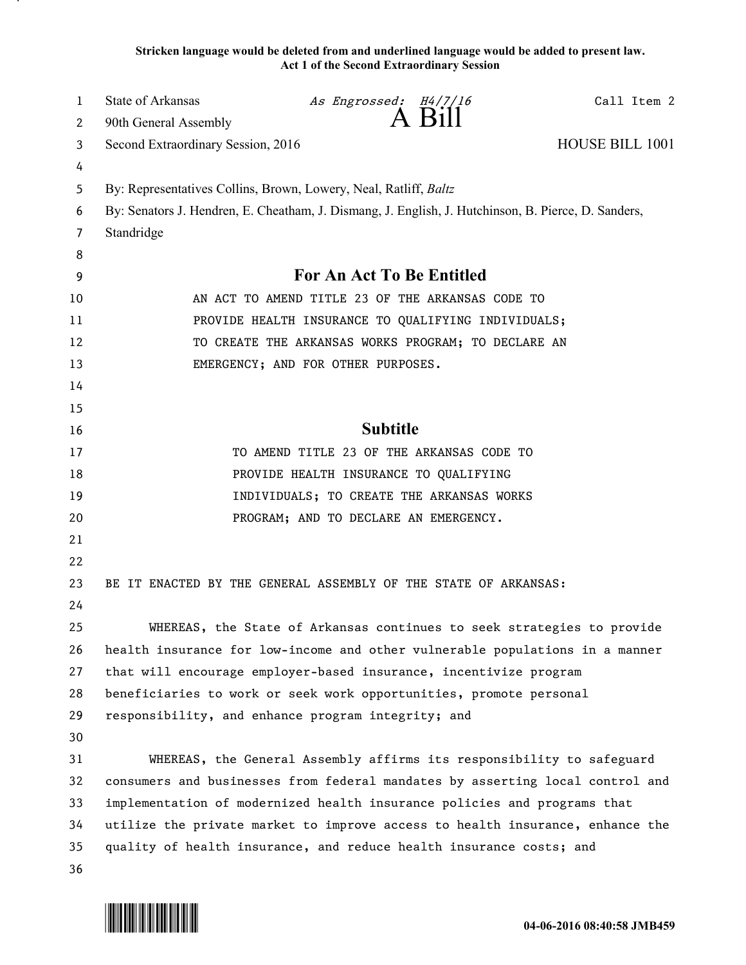**Stricken language would be deleted from and underlined language would be added to present law. Act 1 of the Second Extraordinary Session**

| 1  | State of Arkansas                                                                                   | As Engrossed: H4/7/16                                                  |        | Call Item 2     |
|----|-----------------------------------------------------------------------------------------------------|------------------------------------------------------------------------|--------|-----------------|
| 2  | 90th General Assembly                                                                               |                                                                        | A Bill |                 |
| 3  | Second Extraordinary Session, 2016                                                                  |                                                                        |        | HOUSE BILL 1001 |
| 4  |                                                                                                     |                                                                        |        |                 |
| 5  | By: Representatives Collins, Brown, Lowery, Neal, Ratliff, <i>Baltz</i>                             |                                                                        |        |                 |
| 6  | By: Senators J. Hendren, E. Cheatham, J. Dismang, J. English, J. Hutchinson, B. Pierce, D. Sanders, |                                                                        |        |                 |
| 7  | Standridge                                                                                          |                                                                        |        |                 |
| 8  |                                                                                                     |                                                                        |        |                 |
| 9  |                                                                                                     | For An Act To Be Entitled                                              |        |                 |
| 10 |                                                                                                     | AN ACT TO AMEND TITLE 23 OF THE ARKANSAS CODE TO                       |        |                 |
| 11 |                                                                                                     | PROVIDE HEALTH INSURANCE TO QUALIFYING INDIVIDUALS;                    |        |                 |
| 12 |                                                                                                     | TO CREATE THE ARKANSAS WORKS PROGRAM; TO DECLARE AN                    |        |                 |
| 13 |                                                                                                     | EMERGENCY; AND FOR OTHER PURPOSES.                                     |        |                 |
| 14 |                                                                                                     |                                                                        |        |                 |
| 15 |                                                                                                     |                                                                        |        |                 |
| 16 |                                                                                                     | <b>Subtitle</b>                                                        |        |                 |
| 17 |                                                                                                     | TO AMEND TITLE 23 OF THE ARKANSAS CODE TO                              |        |                 |
| 18 |                                                                                                     | PROVIDE HEALTH INSURANCE TO QUALIFYING                                 |        |                 |
| 19 |                                                                                                     | INDIVIDUALS; TO CREATE THE ARKANSAS WORKS                              |        |                 |
| 20 |                                                                                                     | PROGRAM; AND TO DECLARE AN EMERGENCY.                                  |        |                 |
| 21 |                                                                                                     |                                                                        |        |                 |
| 22 |                                                                                                     |                                                                        |        |                 |
| 23 | BE IT ENACTED BY THE GENERAL ASSEMBLY OF THE STATE OF ARKANSAS:                                     |                                                                        |        |                 |
| 24 |                                                                                                     |                                                                        |        |                 |
| 25 |                                                                                                     | WHEREAS, the State of Arkansas continues to seek strategies to provide |        |                 |
| 26 | health insurance for low-income and other vulnerable populations in a manner                        |                                                                        |        |                 |
| 27 | that will encourage employer-based insurance, incentivize program                                   |                                                                        |        |                 |
| 28 | beneficiaries to work or seek work opportunities, promote personal                                  |                                                                        |        |                 |
| 29 | responsibility, and enhance program integrity; and                                                  |                                                                        |        |                 |
| 30 |                                                                                                     |                                                                        |        |                 |
| 31 |                                                                                                     | WHEREAS, the General Assembly affirms its responsibility to safeguard  |        |                 |
| 32 | consumers and businesses from federal mandates by asserting local control and                       |                                                                        |        |                 |
| 33 | implementation of modernized health insurance policies and programs that                            |                                                                        |        |                 |
| 34 | utilize the private market to improve access to health insurance, enhance the                       |                                                                        |        |                 |
| 35 | quality of health insurance, and reduce health insurance costs; and                                 |                                                                        |        |                 |
| 36 |                                                                                                     |                                                                        |        |                 |

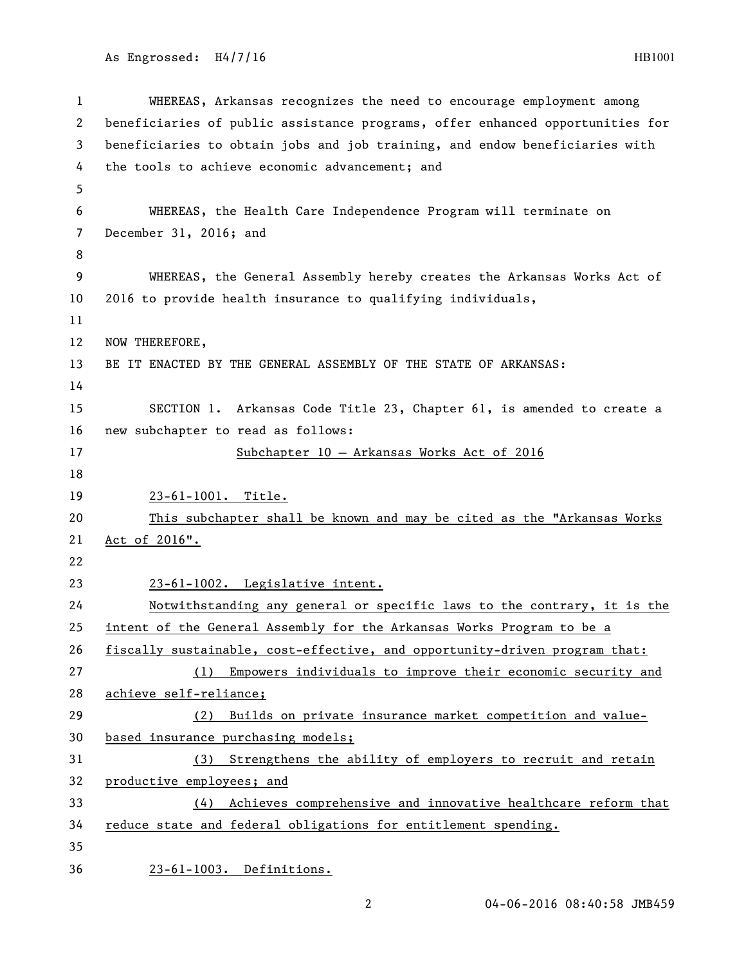```
1 WHEREAS, Arkansas recognizes the need to encourage employment among 
2 beneficiaries of public assistance programs, offer enhanced opportunities for 
3 beneficiaries to obtain jobs and job training, and endow beneficiaries with 
4 the tools to achieve economic advancement; and
5
6 WHEREAS, the Health Care Independence Program will terminate on 
7 December 31, 2016; and
8
9 WHEREAS, the General Assembly hereby creates the Arkansas Works Act of 
10 2016 to provide health insurance to qualifying individuals,
11
12 NOW THEREFORE,
13 BE IT ENACTED BY THE GENERAL ASSEMBLY OF THE STATE OF ARKANSAS:
14
15 SECTION 1. Arkansas Code Title 23, Chapter 61, is amended to create a 
16 new subchapter to read as follows:
17 Subchapter 10 – Arkansas Works Act of 2016
18
19 23-61-1001. Title.
20 This subchapter shall be known and may be cited as the "Arkansas Works
21 Act of 2016".
22
23 23-61-1002. Legislative intent.
24 Notwithstanding any general or specific laws to the contrary, it is the
25 intent of the General Assembly for the Arkansas Works Program to be a
26 fiscally sustainable, cost-effective, and opportunity-driven program that:
27 (1) Empowers individuals to improve their economic security and
28 achieve self-reliance;
29 (2) Builds on private insurance market competition and value-
30 based insurance purchasing models;
31 (3) Strengthens the ability of employers to recruit and retain
32 productive employees; and
33 (4) Achieves comprehensive and innovative healthcare reform that
34 reduce state and federal obligations for entitlement spending.
35
36 23-61-1003. Definitions.
```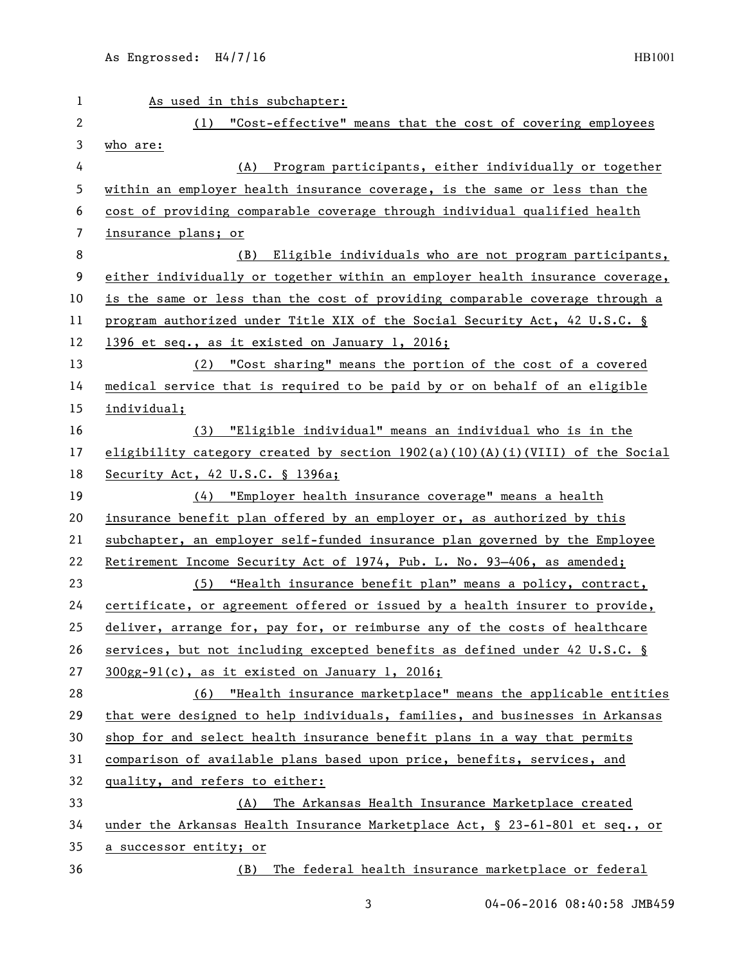| 1  | As used in this subchapter:                                                     |
|----|---------------------------------------------------------------------------------|
| 2  | "Cost-effective" means that the cost of covering employees<br>(1)               |
| 3  | who are:                                                                        |
| 4  | Program participants, either individually or together<br>(A)                    |
| 5  | within an employer health insurance coverage, is the same or less than the      |
| 6  | cost of providing comparable coverage through individual qualified health       |
| 7  | insurance plans; or                                                             |
| 8  | Eligible individuals who are not program participants,<br>(B)                   |
| 9  | either individually or together within an employer health insurance coverage,   |
| 10 | is the same or less than the cost of providing comparable coverage through a    |
| 11 | program authorized under Title XIX of the Social Security Act, 42 U.S.C. §      |
| 12 | 1396 et seq., as it existed on January 1, 2016;                                 |
| 13 | (2) "Cost sharing" means the portion of the cost of a covered                   |
| 14 | medical service that is required to be paid by or on behalf of an eligible      |
| 15 | individual;                                                                     |
| 16 | (3) "Eligible individual" means an individual who is in the                     |
| 17 | eligibility category created by section $1902(a)(10)(A)(i)(VIII)$ of the Social |
| 18 | Security Act, 42 U.S.C. § 1396a;                                                |
| 19 | (4) "Employer health insurance coverage" means a health                         |
| 20 | insurance benefit plan offered by an employer or, as authorized by this         |
| 21 | subchapter, an employer self-funded insurance plan governed by the Employee     |
| 22 | Retirement Income Security Act of 1974, Pub. L. No. 93-406, as amended;         |
| 23 | (5) "Health insurance benefit plan" means a policy, contract,                   |
| 24 | certificate, or agreement offered or issued by a health insurer to provide,     |
| 25 | deliver, arrange for, pay for, or reimburse any of the costs of healthcare      |
| 26 | services, but not including excepted benefits as defined under 42 U.S.C. §      |
| 27 | 300gg-91(c), as it existed on January 1, 2016;                                  |
| 28 | (6) "Health insurance marketplace" means the applicable entities                |
| 29 | that were designed to help individuals, families, and businesses in Arkansas    |
| 30 | shop for and select health insurance benefit plans in a way that permits        |
| 31 | comparison of available plans based upon price, benefits, services, and         |
| 32 | quality, and refers to either:                                                  |
| 33 | The Arkansas Health Insurance Marketplace created<br>(A)                        |
| 34 | under the Arkansas Health Insurance Marketplace Act, § 23-61-801 et seq., or    |
| 35 | a successor entity; or                                                          |
| 36 | The federal health insurance marketplace or federal<br>(B)                      |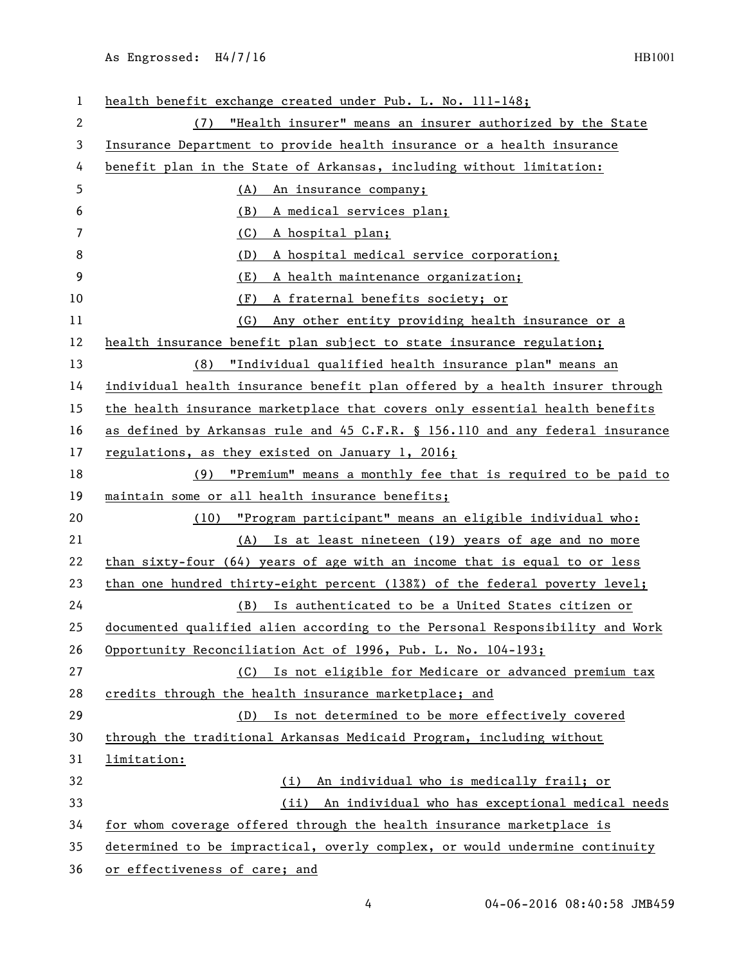| 1            | health benefit exchange created under Pub. L. No. 111-148;                    |
|--------------|-------------------------------------------------------------------------------|
| $\mathbf{2}$ | (7) "Health insurer" means an insurer authorized by the State                 |
| 3            | Insurance Department to provide health insurance or a health insurance        |
| 4            | benefit plan in the State of Arkansas, including without limitation:          |
| 5            | (A)<br>An insurance company;                                                  |
| 6            | (B)<br>A medical services plan;                                               |
| 7            | (C)<br>A hospital plan;                                                       |
| 8            | (D)<br>A hospital medical service corporation;                                |
| 9            | (E)<br>A health maintenance organization;                                     |
| 10           | (F)<br>A fraternal benefits society; or                                       |
| 11           | Any other entity providing health insurance or a<br>(G)                       |
| 12           | health insurance benefit plan subject to state insurance regulation;          |
| 13           | (8) "Individual qualified health insurance plan" means an                     |
| 14           | individual health insurance benefit plan offered by a health insurer through  |
| 15           | the health insurance marketplace that covers only essential health benefits   |
| 16           | as defined by Arkansas rule and 45 C.F.R. § 156.110 and any federal insurance |
| 17           | regulations, as they existed on January 1, 2016;                              |
| 18           | (9) "Premium" means a monthly fee that is required to be paid to              |
| 19           | maintain some or all health insurance benefits;                               |
| 20           | "Program participant" means an eligible individual who:<br>(10)               |
| 21           | (A) Is at least nineteen (19) years of age and no more                        |
| 22           | than sixty-four $(64)$ years of age with an income that is equal to or less   |
| 23           | than one hundred thirty-eight percent (138%) of the federal poverty level;    |
| 24           | (B) Is authenticated to be a United States citizen or                         |
| 25           | documented qualified alien according to the Personal Responsibility and Work  |
| 26           | Opportunity Reconciliation Act of 1996, Pub. L. No. 104-193;                  |
| 27           | (C) Is not eligible for Medicare or advanced premium tax                      |
| 28           | credits through the health insurance marketplace; and                         |
| 29           | Is not determined to be more effectively covered<br>(D)                       |
| 30           | through the traditional Arkansas Medicaid Program, including without          |
| 31           | limitation:                                                                   |
| 32           | An individual who is medically frail; or<br>(i)                               |
| 33           | (ii) An individual who has exceptional medical needs                          |
| 34           | for whom coverage offered through the health insurance marketplace is         |
| 35           | determined to be impractical, overly complex, or would undermine continuity   |
| 36           | or effectiveness of care; and                                                 |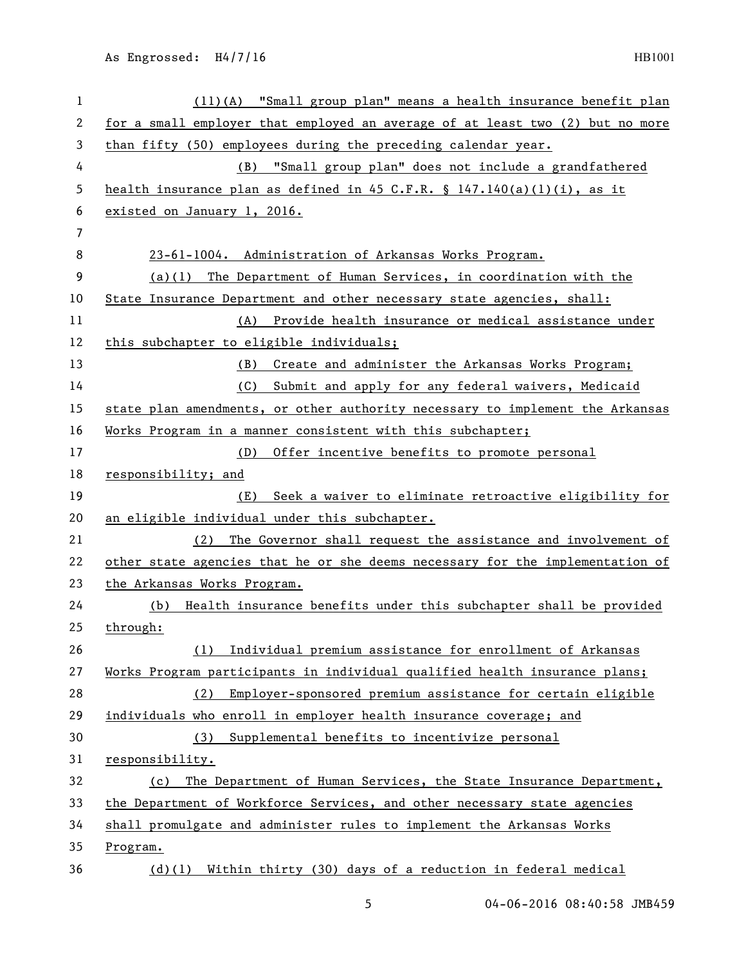| $\mathbf{1}$ | (11)(A) "Small group plan" means a health insurance benefit plan              |
|--------------|-------------------------------------------------------------------------------|
| 2            | for a small employer that employed an average of at least two (2) but no more |
| 3            | than fifty (50) employees during the preceding calendar year.                 |
| 4            | (B) "Small group plan" does not include a grandfathered                       |
| 5            | health insurance plan as defined in 45 C.F.R. § $147.140(a)(1)(i)$ , as it    |
| 6            | existed on January 1, 2016.                                                   |
| 7            |                                                                               |
| 8            | 23-61-1004. Administration of Arkansas Works Program.                         |
| 9            | $(a)(1)$ The Department of Human Services, in coordination with the           |
| 10           | State Insurance Department and other necessary state agencies, shall:         |
| 11           | (A) Provide health insurance or medical assistance under                      |
| 12           | this subchapter to eligible individuals;                                      |
| 13           | Create and administer the Arkansas Works Program;<br>(B)                      |
| 14           | Submit and apply for any federal waivers, Medicaid<br>(C)                     |
| 15           | state plan amendments, or other authority necessary to implement the Arkansas |
| 16           | Works Program in a manner consistent with this subchapter;                    |
| 17           | (D) Offer incentive benefits to promote personal                              |
| 18           | responsibility; and                                                           |
| 19           | Seek a waiver to eliminate retroactive eligibility for<br>(E)                 |
| 20           | an eligible individual under this subchapter.                                 |
| 21           | The Governor shall request the assistance and involvement of<br>(2)           |
| 22           | other state agencies that he or she deems necessary for the implementation of |
| 23           | the Arkansas Works Program.                                                   |
| 24           | Health insurance benefits under this subchapter shall be provided<br>(b)      |
| 25           | through:                                                                      |
| 26           | Individual premium assistance for enrollment of Arkansas<br>(1)               |
| 27           | Works Program participants in individual qualified health insurance plans;    |
| 28           | (2) Employer-sponsored premium assistance for certain eligible                |
| 29           | individuals who enroll in employer health insurance coverage; and             |
| 30           | (3) Supplemental benefits to incentivize personal                             |
| 31           | responsibility.                                                               |
| 32           | (c) The Department of Human Services, the State Insurance Department,         |
| 33           | the Department of Workforce Services, and other necessary state agencies      |
| 34           | shall promulgate and administer rules to implement the Arkansas Works         |
| 35           | Program.                                                                      |
| 36           | (d)(l) Within thirty (30) days of a reduction in federal medical              |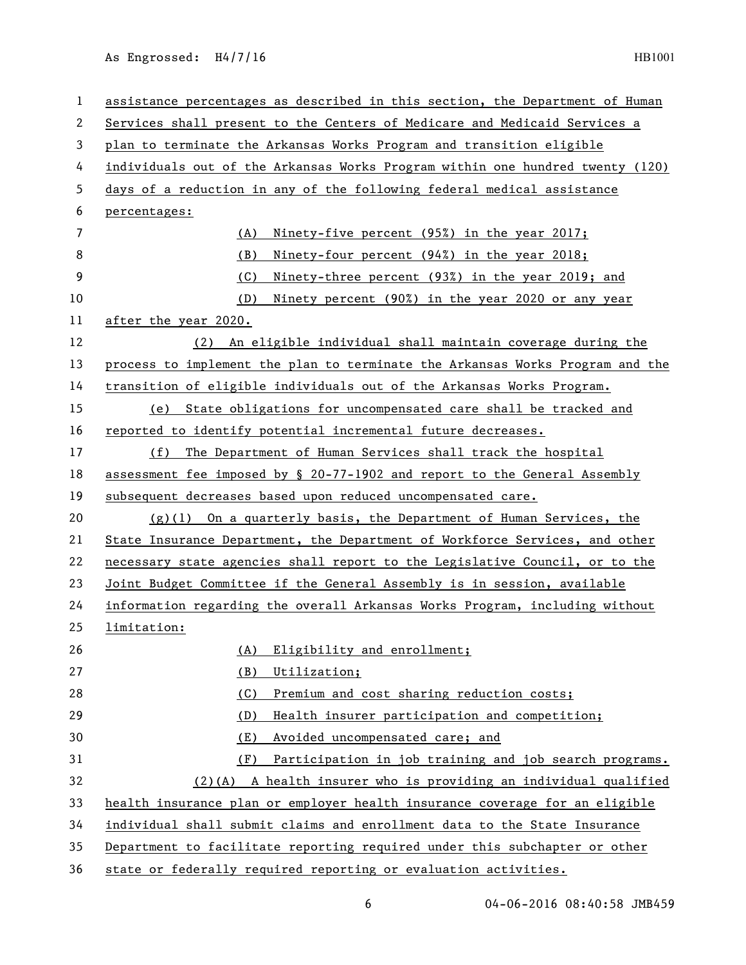| $\mathbf{1}$   | assistance percentages as described in this section, the Department of Human  |
|----------------|-------------------------------------------------------------------------------|
| 2              | Services shall present to the Centers of Medicare and Medicaid Services a     |
| 3              | plan to terminate the Arkansas Works Program and transition eligible          |
| 4              | individuals out of the Arkansas Works Program within one hundred twenty (120) |
| 5              | days of a reduction in any of the following federal medical assistance        |
| 6              | percentages:                                                                  |
| $\overline{7}$ | Ninety-five percent (95%) in the year 2017;<br>(A)                            |
| 8              | (B)<br>Ninety-four percent (94%) in the year 2018;                            |
| 9              | (C)<br>Ninety-three percent (93%) in the year 2019; and                       |
| 10             | Ninety percent (90%) in the year 2020 or any year<br>(D)                      |
| 11             | after the year 2020.                                                          |
| 12             | An eligible individual shall maintain coverage during the<br>(2)              |
| 13             | process to implement the plan to terminate the Arkansas Works Program and the |
| 14             | transition of eligible individuals out of the Arkansas Works Program.         |
| 15             | (e) State obligations for uncompensated care shall be tracked and             |
| 16             | reported to identify potential incremental future decreases.                  |
| 17             | The Department of Human Services shall track the hospital<br>(f)              |
| 18             | assessment fee imposed by § 20-77-1902 and report to the General Assembly     |
| 19             | subsequent decreases based upon reduced uncompensated care.                   |
| 20             | $(g)(1)$ On a quarterly basis, the Department of Human Services, the          |
| 21             | State Insurance Department, the Department of Workforce Services, and other   |
| 22             | necessary state agencies shall report to the Legislative Council, or to the   |
| 23             | Joint Budget Committee if the General Assembly is in session, available       |
| 24             | information regarding the overall Arkansas Works Program, including without   |
| 25             | limitation:                                                                   |
| 26             | Eligibility and enrollment;<br>(A)                                            |
| 27             | (B)<br>Utilization;                                                           |
| 28             | Premium and cost sharing reduction costs;<br>(C)                              |
| 29             | Health insurer participation and competition;<br>(D)                          |
| 30             | (E)<br>Avoided uncompensated care; and                                        |
| 31             | Participation in job training and job search programs.<br>(F)                 |
| 32             | $(2)$ (A) A health insurer who is providing an individual qualified           |
| 33             | health insurance plan or employer health insurance coverage for an eligible   |
| 34             | individual shall submit claims and enrollment data to the State Insurance     |
| 35             | Department to facilitate reporting required under this subchapter or other    |
| 36             | state or federally required reporting or evaluation activities.               |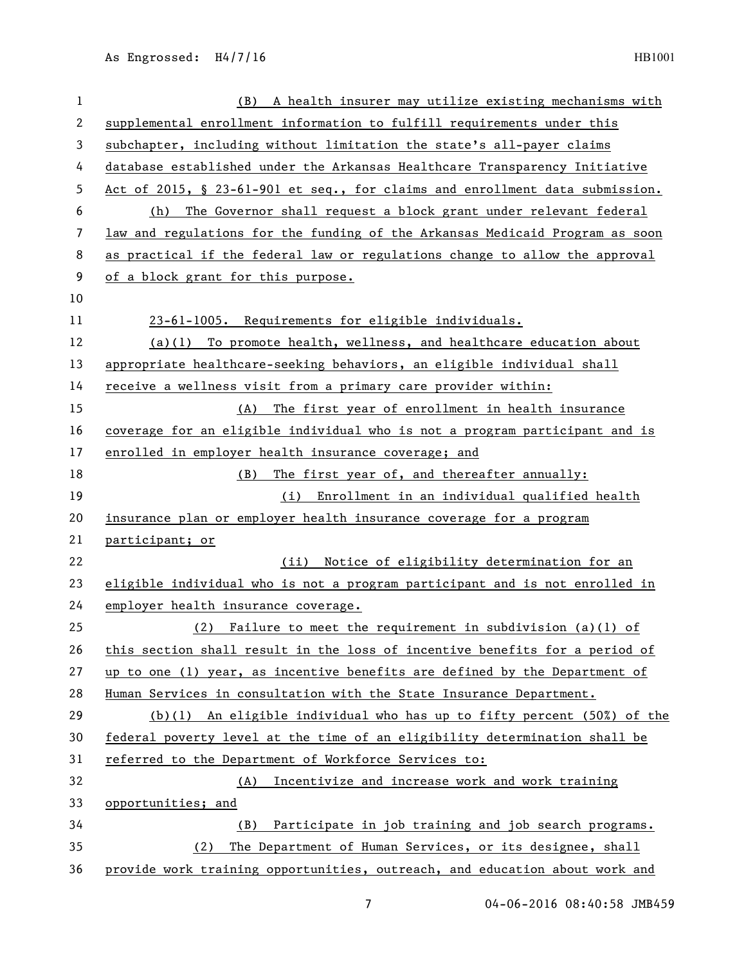| 1  | (B) A health insurer may utilize existing mechanisms with                    |
|----|------------------------------------------------------------------------------|
| 2  | supplemental enrollment information to fulfill requirements under this       |
| 3  | subchapter, including without limitation the state's all-payer claims        |
| 4  | database established under the Arkansas Healthcare Transparency Initiative   |
| 5  | Act of 2015, § 23-61-901 et seq., for claims and enrollment data submission. |
| 6  | The Governor shall request a block grant under relevant federal<br>(h)       |
| 7  | law and regulations for the funding of the Arkansas Medicaid Program as soon |
| 8  | as practical if the federal law or regulations change to allow the approval  |
| 9  | of a block grant for this purpose.                                           |
| 10 |                                                                              |
| 11 | 23-61-1005. Requirements for eligible individuals.                           |
| 12 | (a)(1) To promote health, wellness, and healthcare education about           |
| 13 | appropriate healthcare-seeking behaviors, an eligible individual shall       |
| 14 | receive a wellness visit from a primary care provider within:                |
| 15 | (A) The first year of enrollment in health insurance                         |
| 16 | coverage for an eligible individual who is not a program participant and is  |
| 17 | enrolled in employer health insurance coverage; and                          |
| 18 | The first year of, and thereafter annually:<br>(B)                           |
| 19 | (i) Enrollment in an individual qualified health                             |
| 20 | insurance plan or employer health insurance coverage for a program           |
| 21 | participant; or                                                              |
| 22 | Notice of eligibility determination for an<br>(iii)                          |
| 23 | eligible individual who is not a program participant and is not enrolled in  |
| 24 | employer health insurance coverage.                                          |
| 25 | (2) Failure to meet the requirement in subdivision $(a)(1)$ of               |
| 26 | this section shall result in the loss of incentive benefits for a period of  |
| 27 | up to one (1) year, as incentive benefits are defined by the Department of   |
| 28 | Human Services in consultation with the State Insurance Department.          |
| 29 | (b)(1) An eligible individual who has up to fifty percent $(50%)$ of the     |
| 30 | federal poverty level at the time of an eligibility determination shall be   |
| 31 | referred to the Department of Workforce Services to:                         |
| 32 | Incentivize and increase work and work training<br>(A)                       |
| 33 | opportunities; and                                                           |
| 34 | (B) Participate in job training and job search programs.                     |
| 35 | The Department of Human Services, or its designee, shall<br>(2)              |
| 36 | provide work training opportunities, outreach, and education about work and  |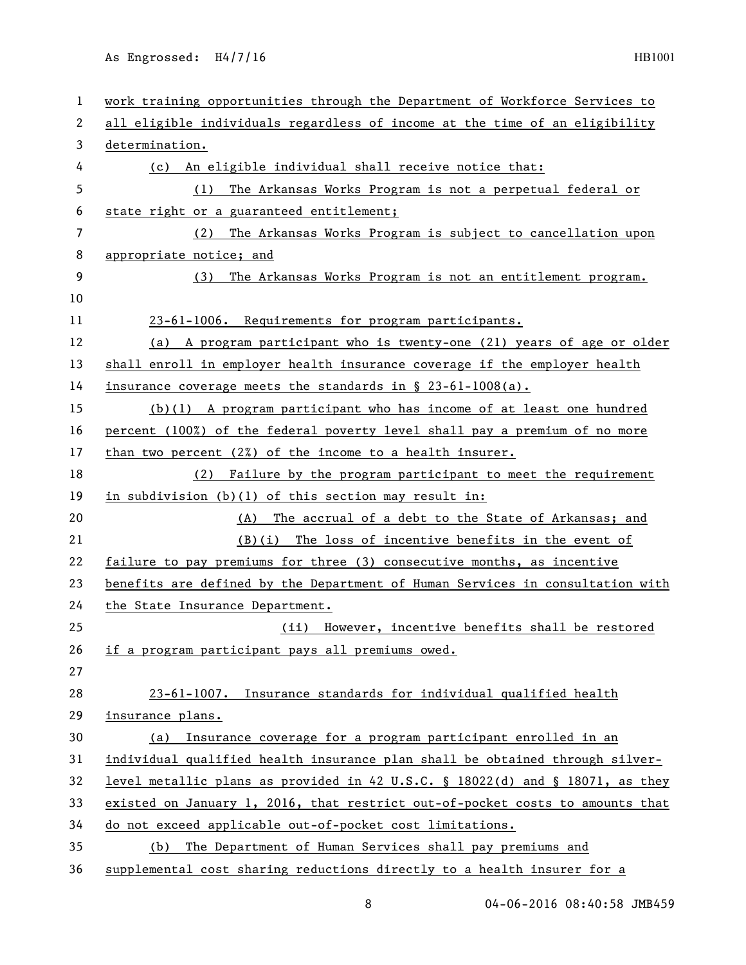| 1  | work training opportunities through the Department of Workforce Services to   |
|----|-------------------------------------------------------------------------------|
| 2  | all eligible individuals regardless of income at the time of an eligibility   |
| 3  | determination.                                                                |
| 4  | (c) An eligible individual shall receive notice that:                         |
| 5  | The Arkansas Works Program is not a perpetual federal or<br>(1)               |
| 6  | state right or a guaranteed entitlement;                                      |
| 7  | The Arkansas Works Program is subject to cancellation upon<br>(2)             |
| 8  | appropriate notice; and                                                       |
| 9  | The Arkansas Works Program is not an entitlement program.<br>(3)              |
| 10 |                                                                               |
| 11 | 23-61-1006. Requirements for program participants.                            |
| 12 | (a) A program participant who is twenty-one (21) years of age or older        |
| 13 | shall enroll in employer health insurance coverage if the employer health     |
| 14 | insurance coverage meets the standards in $\S$ 23-61-1008(a).                 |
| 15 | $(b)(1)$ A program participant who has income of at least one hundred         |
| 16 | percent (100%) of the federal poverty level shall pay a premium of no more    |
| 17 | than two percent $(2x)$ of the income to a health insurer.                    |
| 18 | (2) Failure by the program participant to meet the requirement                |
| 19 | in subdivision (b)(1) of this section may result in:                          |
| 20 | (A) The accrual of a debt to the State of Arkansas; and                       |
| 21 | $(B)(i)$ The loss of incentive benefits in the event of                       |
| 22 | failure to pay premiums for three (3) consecutive months, as incentive        |
| 23 | benefits are defined by the Department of Human Services in consultation with |
| 24 | the State Insurance Department.                                               |
| 25 | (ii) However, incentive benefits shall be restored                            |
| 26 | if a program participant pays all premiums owed.                              |
| 27 |                                                                               |
| 28 | 23-61-1007. Insurance standards for individual qualified health               |
| 29 | insurance plans.                                                              |
| 30 | (a) Insurance coverage for a program participant enrolled in an               |
| 31 | individual qualified health insurance plan shall be obtained through silver-  |
| 32 | level metallic plans as provided in 42 U.S.C. § 18022(d) and § 18071, as they |
| 33 | existed on January 1, 2016, that restrict out-of-pocket costs to amounts that |
| 34 | do not exceed applicable out-of-pocket cost limitations.                      |
| 35 | (b) The Department of Human Services shall pay premiums and                   |
| 36 | supplemental cost sharing reductions directly to a health insurer for a       |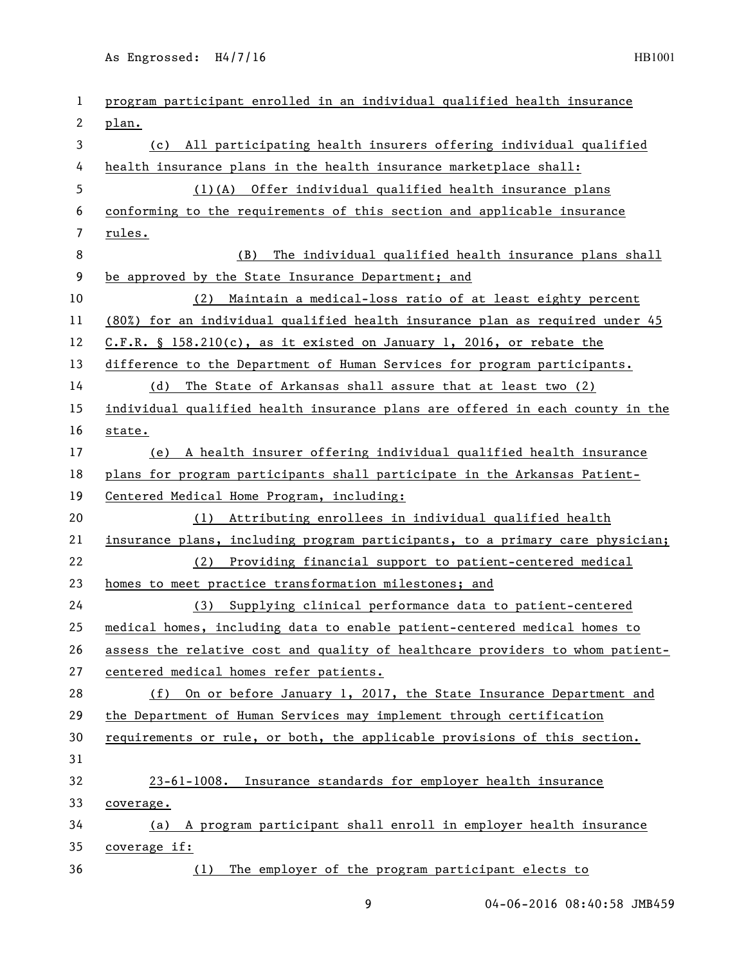| 1  | program participant enrolled in an individual qualified health insurance      |
|----|-------------------------------------------------------------------------------|
| 2  | plan.                                                                         |
| 3  | (c) All participating health insurers offering individual qualified           |
| 4  | health insurance plans in the health insurance marketplace shall:             |
| 5  | (1)(A) Offer individual qualified health insurance plans                      |
| 6  | conforming to the requirements of this section and applicable insurance       |
| 7  | rules.                                                                        |
| 8  | (B)<br>The individual qualified health insurance plans shall                  |
| 9  | be approved by the State Insurance Department; and                            |
| 10 | (2) Maintain a medical-loss ratio of at least eighty percent                  |
| 11 | (80%) for an individual qualified health insurance plan as required under 45  |
| 12 | $C.F.R.$ § 158.210(c), as it existed on January 1, 2016, or rebate the        |
| 13 | difference to the Department of Human Services for program participants.      |
| 14 | (d) The State of Arkansas shall assure that at least two (2)                  |
| 15 | individual qualified health insurance plans are offered in each county in the |
| 16 | state.                                                                        |
| 17 | (e) A health insurer offering individual qualified health insurance           |
| 18 | plans for program participants shall participate in the Arkansas Patient-     |
| 19 | Centered Medical Home Program, including:                                     |
| 20 | (1) Attributing enrollees in individual qualified health                      |
| 21 | insurance plans, including program participants, to a primary care physician; |
| 22 | (2) Providing financial support to patient-centered medical                   |
| 23 | homes to meet practice transformation milestones; and                         |
| 24 | (3) Supplying clinical performance data to patient-centered                   |
| 25 | medical homes, including data to enable patient-centered medical homes to     |
| 26 | assess the relative cost and quality of healthcare providers to whom patient- |
| 27 | centered medical homes refer patients.                                        |
| 28 | (f) On or before January 1, 2017, the State Insurance Department and          |
| 29 | the Department of Human Services may implement through certification          |
| 30 | requirements or rule, or both, the applicable provisions of this section.     |
| 31 |                                                                               |
| 32 | 23-61-1008. Insurance standards for employer health insurance                 |
| 33 | coverage.                                                                     |
| 34 | (a) A program participant shall enroll in employer health insurance           |
| 35 | coverage if:                                                                  |
| 36 |                                                                               |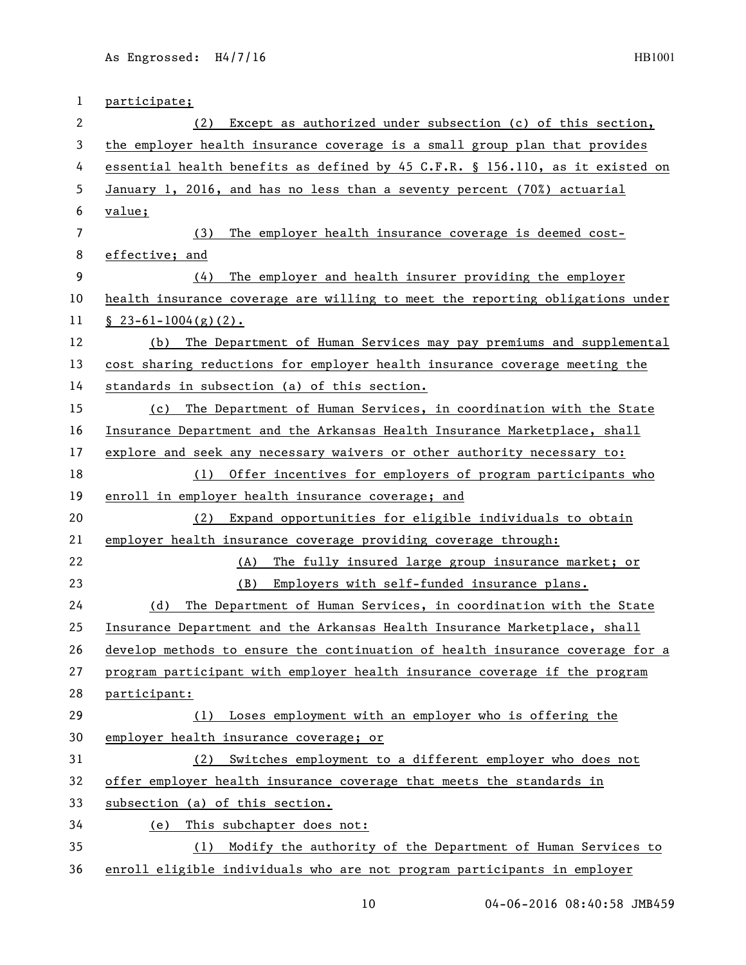| 1  | participate;                                                                  |
|----|-------------------------------------------------------------------------------|
| 2  | Except as authorized under subsection (c) of this section,<br>(2)             |
| 3  | the employer health insurance coverage is a small group plan that provides    |
| 4  | essential health benefits as defined by 45 C.F.R. § 156.110, as it existed on |
| 5  | January 1, 2016, and has no less than a seventy percent (70%) actuarial       |
| 6  | value;                                                                        |
| 7  | The employer health insurance coverage is deemed cost-<br>(3)                 |
| 8  | effective; and                                                                |
| 9  | The employer and health insurer providing the employer<br>(4)                 |
| 10 | health insurance coverage are willing to meet the reporting obligations under |
| 11 | $\S$ 23-61-1004(g)(2).                                                        |
| 12 | The Department of Human Services may pay premiums and supplemental<br>(b)     |
| 13 | cost sharing reductions for employer health insurance coverage meeting the    |
| 14 | standards in subsection (a) of this section.                                  |
| 15 | (c) The Department of Human Services, in coordination with the State          |
| 16 | Insurance Department and the Arkansas Health Insurance Marketplace, shall     |
| 17 | explore and seek any necessary waivers or other authority necessary to:       |
| 18 | Offer incentives for employers of program participants who<br>(1)             |
| 19 | enroll in employer health insurance coverage; and                             |
| 20 | Expand opportunities for eligible individuals to obtain<br>(2)                |
| 21 | employer health insurance coverage providing coverage through:                |
| 22 | The fully insured large group insurance market; or<br>(A)                     |
| 23 | (B)<br>Employers with self-funded insurance plans.                            |
| 24 | The Department of Human Services, in coordination with the State<br>(d)       |
| 25 | Insurance Department and the Arkansas Health Insurance Marketplace, shall     |
| 26 | develop methods to ensure the continuation of health insurance coverage for a |
| 27 | program participant with employer health insurance coverage if the program    |
| 28 | participant:                                                                  |
| 29 | Loses employment with an employer who is offering the<br>(1)                  |
| 30 | employer health insurance coverage; or                                        |
| 31 | Switches employment to a different employer who does not<br>(2)               |
| 32 | offer employer health insurance coverage that meets the standards in          |
| 33 | subsection (a) of this section.                                               |
| 34 | This subchapter does not:<br>(e)                                              |
| 35 | Modify the authority of the Department of Human Services to<br>(1)            |
| 36 | enroll eligible individuals who are not program participants in employer      |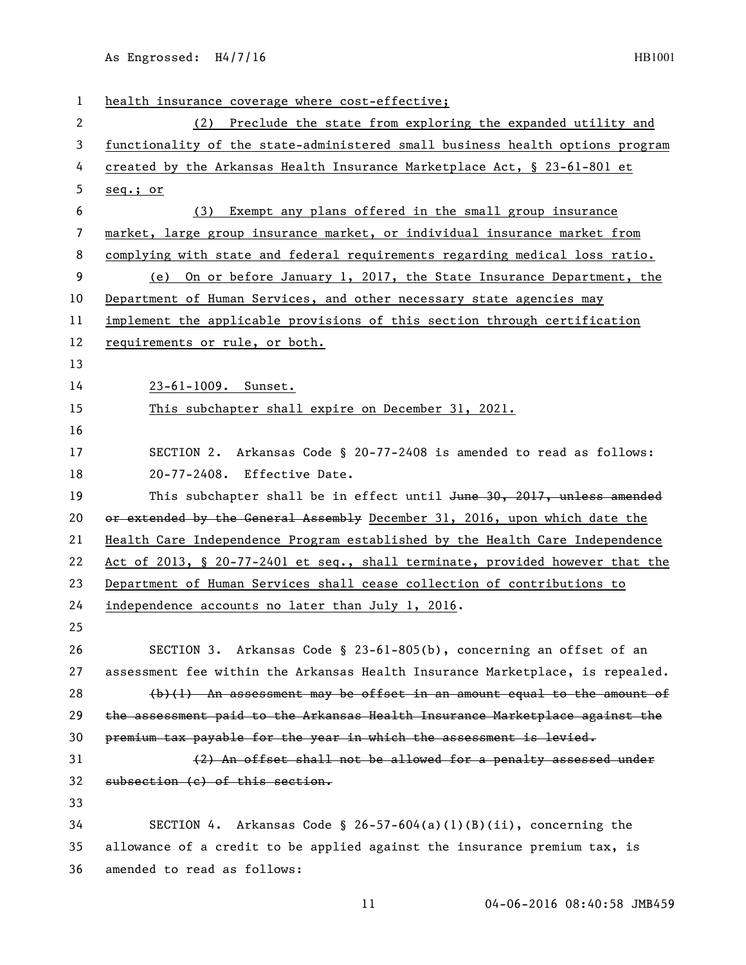| $\mathbf{1}$ | health insurance coverage where cost-effective;                               |
|--------------|-------------------------------------------------------------------------------|
| 2            | (2) Preclude the state from exploring the expanded utility and                |
| 3            | functionality of the state-administered small business health options program |
| 4            | created by the Arkansas Health Insurance Marketplace Act, § 23-61-801 et      |
| 5            | seq.; or                                                                      |
| 6            | Exempt any plans offered in the small group insurance<br>(3)                  |
| 7            | market, large group insurance market, or individual insurance market from     |
| 8            | complying with state and federal requirements regarding medical loss ratio.   |
| 9            | (e) On or before January 1, 2017, the State Insurance Department, the         |
| 10           | Department of Human Services, and other necessary state agencies may          |
| 11           | implement the applicable provisions of this section through certification     |
| 12           | requirements or rule, or both.                                                |
| 13           |                                                                               |
| 14           | 23-61-1009. Sunset.                                                           |
| 15           | This subchapter shall expire on December 31, 2021.                            |
| 16           |                                                                               |
| 17           | SECTION 2. Arkansas Code § 20-77-2408 is amended to read as follows:          |
| 18           | 20-77-2408. Effective Date.                                                   |
| 19           | This subchapter shall be in effect until June 30, 2017, unless amended        |
| 20           | or extended by the General Assembly December 31, 2016, upon which date the    |
| 21           | Health Care Independence Program established by the Health Care Independence  |
| 22           | Act of 2013, § 20-77-2401 et seq., shall terminate, provided however that the |
| 23           | Department of Human Services shall cease collection of contributions to       |
| 24           | independence accounts no later than July 1, 2016.                             |
| 25           |                                                                               |
| 26           | SECTION 3. Arkansas Code § 23-61-805(b), concerning an offset of an           |
| 27           | assessment fee within the Arkansas Health Insurance Marketplace, is repealed. |
| 28           | $(b)(1)$ An assessment may be offset in an amount equal to the amount of      |
| 29           | the assessment paid to the Arkansas Health Insurance Marketplace against the  |
| 30           | premium tax payable for the year in which the assessment is levied.           |
| 31           | (2) An offset shall not be allowed for a penalty assessed under               |
| 32           | subsection (c) of this section.                                               |
| 33           |                                                                               |
| 34           | SECTION 4. Arkansas Code § 26-57-604(a)(1)(B)(ii), concerning the             |
| 35           | allowance of a credit to be applied against the insurance premium tax, is     |
| 36           | amended to read as follows:                                                   |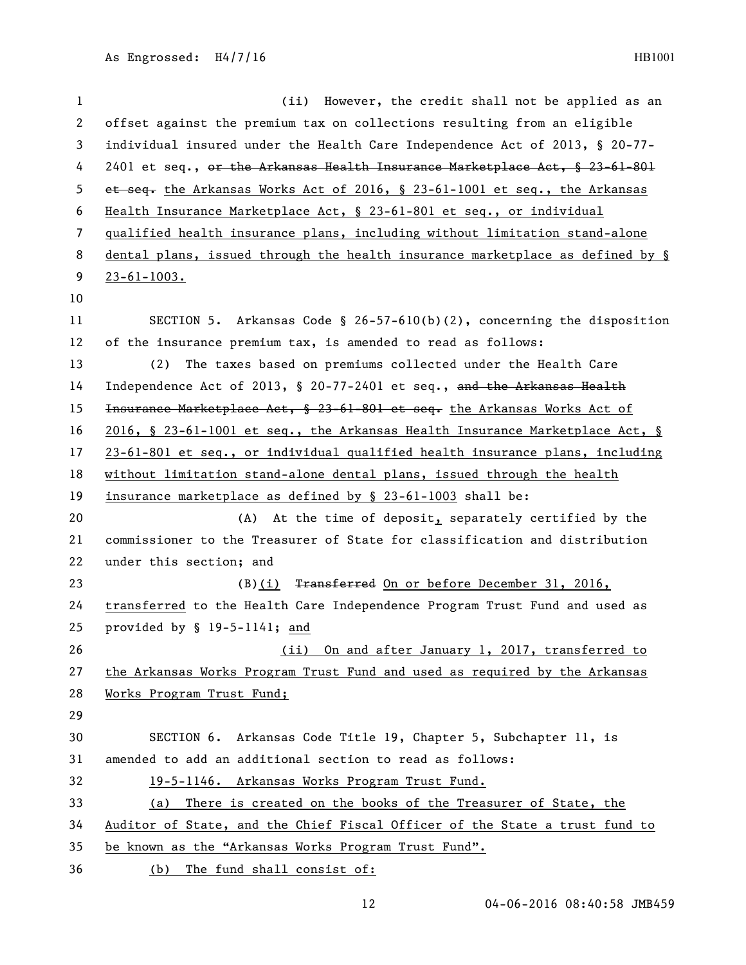| $\mathbf{1}$ | (ii) However, the credit shall not be applied as an                           |
|--------------|-------------------------------------------------------------------------------|
| $\mathbf{2}$ | offset against the premium tax on collections resulting from an eligible      |
| 3            | individual insured under the Health Care Independence Act of 2013, § 20-77-   |
| 4            | 2401 et seq., or the Arkansas Health Insurance Marketplace Act, § 23-61-801   |
| 5            | et seq. the Arkansas Works Act of 2016, § 23-61-1001 et seq., the Arkansas    |
| 6            | Health Insurance Marketplace Act, § 23-61-801 et seq., or individual          |
| 7            | qualified health insurance plans, including without limitation stand-alone    |
| 8            | dental plans, issued through the health insurance marketplace as defined by § |
| 9            | $23 - 61 - 1003$ .                                                            |
| 10           |                                                                               |
| 11           | SECTION 5. Arkansas Code § 26-57-610(b)(2), concerning the disposition        |
| 12           | of the insurance premium tax, is amended to read as follows:                  |
| 13           | The taxes based on premiums collected under the Health Care<br>(2)            |
| 14           | Independence Act of 2013, $\S$ 20-77-2401 et seq., and the Arkansas Health    |
| 15           | Insurance Marketplace Act, § 23-61-801 et seq. the Arkansas Works Act of      |
| 16           | 2016, § 23-61-1001 et seq., the Arkansas Health Insurance Marketplace Act, §  |
| 17           | 23-61-801 et seq., or individual qualified health insurance plans, including  |
| 18           | without limitation stand-alone dental plans, issued through the health        |
| 19           | insurance marketplace as defined by § 23-61-1003 shall be:                    |
| 20           | (A) At the time of deposit, separately certified by the                       |
| 21           | commissioner to the Treasurer of State for classification and distribution    |
| 22           | under this section; and                                                       |
| 23           | Transferred On or before December 31, 2016,<br>(B)(i)                         |
| 24           | transferred to the Health Care Independence Program Trust Fund and used as    |
| 25           | provided by § 19-5-1141; and                                                  |
| 26           | (ii) On and after January 1, 2017, transferred to                             |
| 27           | the Arkansas Works Program Trust Fund and used as required by the Arkansas    |
| 28           | Works Program Trust Fund;                                                     |
| 29           |                                                                               |
| 30           | SECTION 6. Arkansas Code Title 19, Chapter 5, Subchapter 11, is               |
| 31           | amended to add an additional section to read as follows:                      |
| 32           | 19-5-1146. Arkansas Works Program Trust Fund.                                 |
| 33           | There is created on the books of the Treasurer of State, the<br>(a)           |
| 34           | Auditor of State, and the Chief Fiscal Officer of the State a trust fund to   |
| 35           | be known as the "Arkansas Works Program Trust Fund".                          |
| 36           | (b) The fund shall consist of:                                                |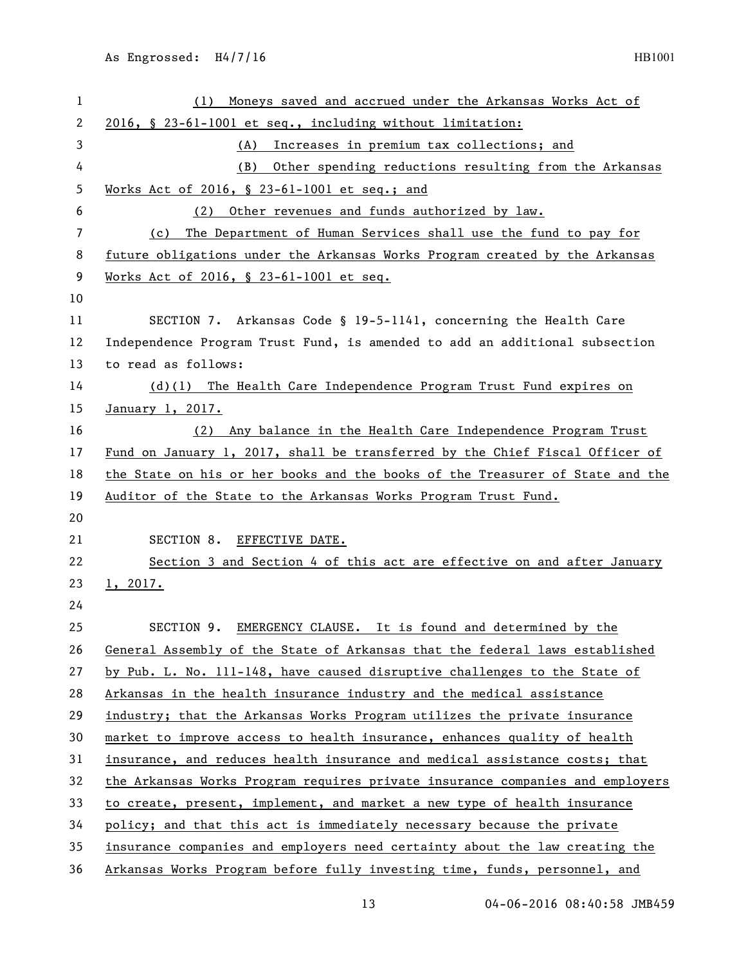| 1  | Moneys saved and accrued under the Arkansas Works Act of<br>(1)               |
|----|-------------------------------------------------------------------------------|
| 2  | 2016, § 23-61-1001 et seq., including without limitation:                     |
| 3  | Increases in premium tax collections; and<br>(A)                              |
| 4  | Other spending reductions resulting from the Arkansas<br>(B)                  |
| 5  | Works Act of 2016, § 23-61-1001 et seq.; and                                  |
| 6  | Other revenues and funds authorized by law.<br>(2)                            |
| 7  | The Department of Human Services shall use the fund to pay for<br>(c)         |
| 8  | future obligations under the Arkansas Works Program created by the Arkansas   |
| 9  | Works Act of 2016, § 23-61-1001 et seq.                                       |
| 10 |                                                                               |
| 11 | SECTION 7. Arkansas Code § 19-5-1141, concerning the Health Care              |
| 12 | Independence Program Trust Fund, is amended to add an additional subsection   |
| 13 | to read as follows:                                                           |
| 14 | (d)(l) The Health Care Independence Program Trust Fund expires on             |
| 15 | January 1, 2017.                                                              |
| 16 | (2) Any balance in the Health Care Independence Program Trust                 |
| 17 | Fund on January 1, 2017, shall be transferred by the Chief Fiscal Officer of  |
| 18 | the State on his or her books and the books of the Treasurer of State and the |
| 19 | Auditor of the State to the Arkansas Works Program Trust Fund.                |
| 20 |                                                                               |
| 21 | SECTION 8.<br>EFFECTIVE DATE.                                                 |
| 22 | Section 3 and Section 4 of this act are effective on and after January        |
| 23 | 1, 2017.                                                                      |
| 24 |                                                                               |
| 25 | SECTION 9.<br>EMERGENCY CLAUSE. It is found and determined by the             |
| 26 | General Assembly of the State of Arkansas that the federal laws established   |
| 27 | by Pub. L. No. 111-148, have caused disruptive challenges to the State of     |
| 28 | Arkansas in the health insurance industry and the medical assistance          |
| 29 | industry; that the Arkansas Works Program utilizes the private insurance      |
| 30 | market to improve access to health insurance, enhances quality of health      |
| 31 | insurance, and reduces health insurance and medical assistance costs; that    |
| 32 | the Arkansas Works Program requires private insurance companies and employers |
| 33 | to create, present, implement, and market a new type of health insurance      |
| 34 | policy; and that this act is immediately necessary because the private        |
| 35 | insurance companies and employers need certainty about the law creating the   |
|    |                                                                               |